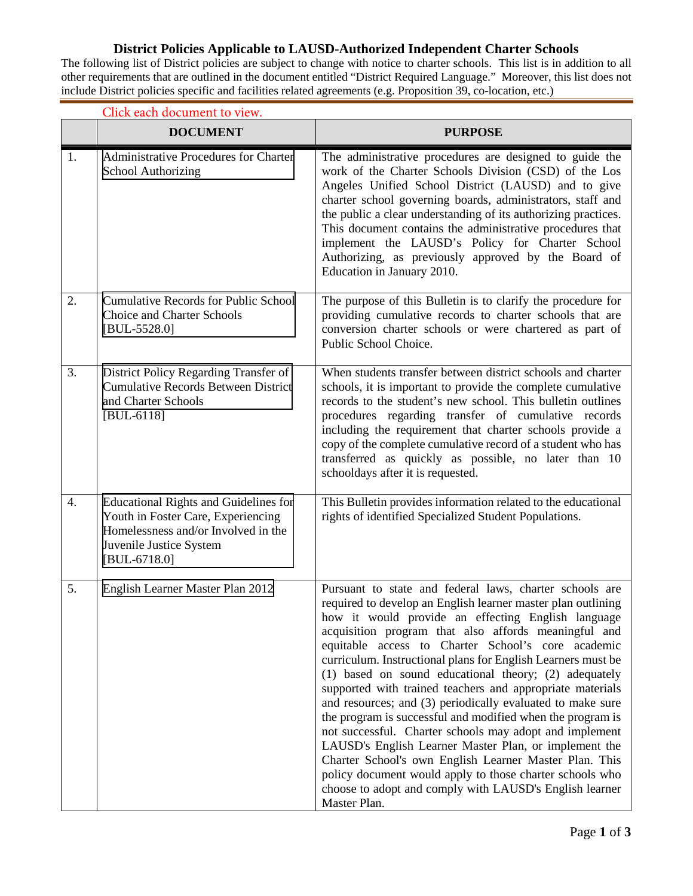## **District Policies Applicable to LAUSD-Authorized Independent Charter Schools**

The following list of District policies are subject to change with notice to charter schools. This list is in addition to all other requirements that are outlined in the document entitled "District Required Language." Moreover, this list does not include District policies specific and facilities related agreements (e.g. Proposition 39, co-location, etc.)

|                  | Click each document to view.                                                                                                                                           |                                                                                                                                                                                                                                                                                                                                                                                                                                                                                                                                                                                                                                                                                                                                                                                                                                                                                                                                    |  |  |
|------------------|------------------------------------------------------------------------------------------------------------------------------------------------------------------------|------------------------------------------------------------------------------------------------------------------------------------------------------------------------------------------------------------------------------------------------------------------------------------------------------------------------------------------------------------------------------------------------------------------------------------------------------------------------------------------------------------------------------------------------------------------------------------------------------------------------------------------------------------------------------------------------------------------------------------------------------------------------------------------------------------------------------------------------------------------------------------------------------------------------------------|--|--|
|                  | <b>DOCUMENT</b>                                                                                                                                                        | <b>PURPOSE</b>                                                                                                                                                                                                                                                                                                                                                                                                                                                                                                                                                                                                                                                                                                                                                                                                                                                                                                                     |  |  |
| 1.               | Administrative Procedures for Charter<br>School Authorizing                                                                                                            | The administrative procedures are designed to guide the<br>work of the Charter Schools Division (CSD) of the Los<br>Angeles Unified School District (LAUSD) and to give<br>charter school governing boards, administrators, staff and<br>the public a clear understanding of its authorizing practices.<br>This document contains the administrative procedures that<br>implement the LAUSD's Policy for Charter School<br>Authorizing, as previously approved by the Board of<br>Education in January 2010.                                                                                                                                                                                                                                                                                                                                                                                                                       |  |  |
| 2.               | <b>Cumulative Records for Public School</b><br>Choice and Charter Schools<br>$[BUL-5528.0]$                                                                            | The purpose of this Bulletin is to clarify the procedure for<br>providing cumulative records to charter schools that are<br>conversion charter schools or were chartered as part of<br>Public School Choice.                                                                                                                                                                                                                                                                                                                                                                                                                                                                                                                                                                                                                                                                                                                       |  |  |
| 3.               | District Policy Regarding Transfer of<br><b>Cumulative Records Between District</b><br>and Charter Schools<br>$[BUL-6118]$                                             | When students transfer between district schools and charter<br>schools, it is important to provide the complete cumulative<br>records to the student's new school. This bulletin outlines<br>procedures regarding transfer of cumulative records<br>including the requirement that charter schools provide a<br>copy of the complete cumulative record of a student who has<br>transferred as quickly as possible, no later than 10<br>schooldays after it is requested.                                                                                                                                                                                                                                                                                                                                                                                                                                                           |  |  |
| $\overline{4}$ . | <b>Educational Rights and Guidelines for</b><br>Youth in Foster Care, Experiencing<br>Homelessness and/or Involved in the<br>Juvenile Justice System<br>$[BUL-6718.0]$ | This Bulletin provides information related to the educational<br>rights of identified Specialized Student Populations.                                                                                                                                                                                                                                                                                                                                                                                                                                                                                                                                                                                                                                                                                                                                                                                                             |  |  |
| 5.               | English Learner Master Plan 2012                                                                                                                                       | Pursuant to state and federal laws, charter schools are<br>required to develop an English learner master plan outlining<br>how it would provide an effecting English language<br>acquisition program that also affords meaningful and<br>equitable access to Charter School's core academic<br>curriculum. Instructional plans for English Learners must be<br>(1) based on sound educational theory; (2) adequately<br>supported with trained teachers and appropriate materials<br>and resources; and (3) periodically evaluated to make sure<br>the program is successful and modified when the program is<br>not successful. Charter schools may adopt and implement<br>LAUSD's English Learner Master Plan, or implement the<br>Charter School's own English Learner Master Plan. This<br>policy document would apply to those charter schools who<br>choose to adopt and comply with LAUSD's English learner<br>Master Plan. |  |  |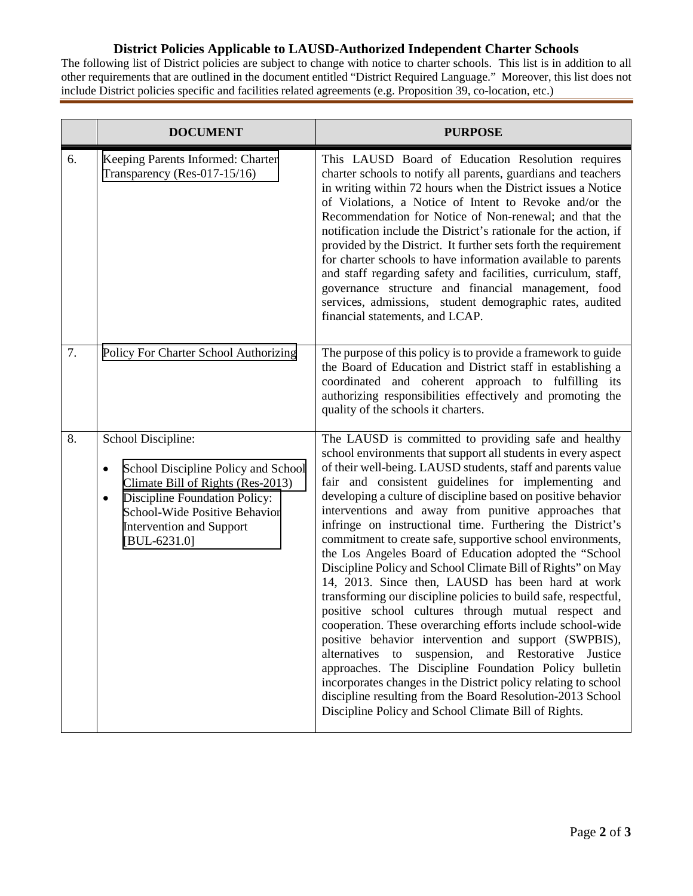## **District Policies Applicable to LAUSD-Authorized Independent Charter Schools**

The following list of District policies are subject to change with notice to charter schools. This list is in addition to all other requirements that are outlined in the document entitled "District Required Language." Moreover, this list does not include District policies specific and facilities related agreements (e.g. Proposition 39, co-location, etc.)

|    | <b>DOCUMENT</b>                                                                                                                                                                                                                         | <b>PURPOSE</b>                                                                                                                                                                                                                                                                                                                                                                                                                                                                                                                                                                                                                                                                                                                                                                                                                                                                                                                                                                                                                                                                                                                                                                                                                                     |
|----|-----------------------------------------------------------------------------------------------------------------------------------------------------------------------------------------------------------------------------------------|----------------------------------------------------------------------------------------------------------------------------------------------------------------------------------------------------------------------------------------------------------------------------------------------------------------------------------------------------------------------------------------------------------------------------------------------------------------------------------------------------------------------------------------------------------------------------------------------------------------------------------------------------------------------------------------------------------------------------------------------------------------------------------------------------------------------------------------------------------------------------------------------------------------------------------------------------------------------------------------------------------------------------------------------------------------------------------------------------------------------------------------------------------------------------------------------------------------------------------------------------|
| 6. | Keeping Parents Informed: Charter<br>Transparency (Res-017-15/16)                                                                                                                                                                       | This LAUSD Board of Education Resolution requires<br>charter schools to notify all parents, guardians and teachers<br>in writing within 72 hours when the District issues a Notice<br>of Violations, a Notice of Intent to Revoke and/or the<br>Recommendation for Notice of Non-renewal; and that the<br>notification include the District's rationale for the action, if<br>provided by the District. It further sets forth the requirement<br>for charter schools to have information available to parents<br>and staff regarding safety and facilities, curriculum, staff,<br>governance structure and financial management, food<br>services, admissions, student demographic rates, audited<br>financial statements, and LCAP.                                                                                                                                                                                                                                                                                                                                                                                                                                                                                                               |
| 7. | Policy For Charter School Authorizing                                                                                                                                                                                                   | The purpose of this policy is to provide a framework to guide<br>the Board of Education and District staff in establishing a<br>coordinated and coherent approach to fulfilling its<br>authorizing responsibilities effectively and promoting the<br>quality of the schools it charters.                                                                                                                                                                                                                                                                                                                                                                                                                                                                                                                                                                                                                                                                                                                                                                                                                                                                                                                                                           |
| 8. | School Discipline:<br>School Discipline Policy and School<br>٠<br>Climate Bill of Rights (Res-2013)<br>Discipline Foundation Policy:<br>$\bullet$<br>School-Wide Positive Behavior<br><b>Intervention and Support</b><br>$[BUL-6231.0]$ | The LAUSD is committed to providing safe and healthy<br>school environments that support all students in every aspect<br>of their well-being. LAUSD students, staff and parents value<br>fair and consistent guidelines for implementing and<br>developing a culture of discipline based on positive behavior<br>interventions and away from punitive approaches that<br>infringe on instructional time. Furthering the District's<br>commitment to create safe, supportive school environments,<br>the Los Angeles Board of Education adopted the "School<br>Discipline Policy and School Climate Bill of Rights" on May<br>14, 2013. Since then, LAUSD has been hard at work<br>transforming our discipline policies to build safe, respectful,<br>positive school cultures through mutual respect and<br>cooperation. These overarching efforts include school-wide<br>positive behavior intervention and support (SWPBIS),<br>alternatives<br>suspension,<br>and Restorative<br>Justice<br>to<br>approaches. The Discipline Foundation Policy bulletin<br>incorporates changes in the District policy relating to school<br>discipline resulting from the Board Resolution-2013 School<br>Discipline Policy and School Climate Bill of Rights. |